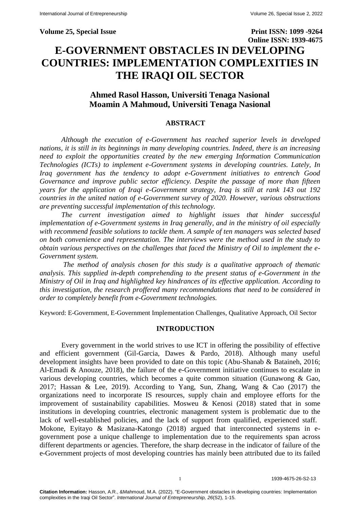**Volume 25, Special Issue Print ISSN: 1099 -9264 Online ISSN: 1939-4675 E-GOVERNMENT OBSTACLES IN DEVELOPING COUNTRIES: IMPLEMENTATION COMPLEXITIES IN THE IRAQI OIL SECTOR**

# **Ahmed Rasol Hasson, Universiti Tenaga Nasional Moamin A Mahmoud, Universiti Tenaga Nasional**

## **ABSTRACT**

*Although the execution of e-Government has reached superior levels in developed nations, it is still in its beginnings in many developing countries. Indeed, there is an increasing need to exploit the opportunities created by the new emerging Information Communication Technologies (ICTs) to implement e-Government systems in developing countries. Lately, In Iraq government has the tendency to adopt e-Government initiatives to entrench Good Governance and improve public sector efficiency. Despite the passage of more than fifteen years for the application of Iraqi e-Government strategy, Iraq is still at rank 143 out 192 countries in the united nation of e-Government survey of 2020. However, various obstructions are preventing successful implementation of this technology.* 

*The current investigation aimed to highlight issues that hinder successful implementation of e-Government systems in Iraq generally, and in the ministry of oil especially with recommend feasible solutions to tackle them. A sample of ten managers was selected based on both convenience and representation. The interviews were the method used in the study to obtain various perspectives on the challenges that faced the Ministry of Oil to implement the e-Government system.*

*The method of analysis chosen for this study is a qualitative approach of thematic analysis. This supplied in-depth comprehending to the present status of e-Government in the Ministry of Oil in Iraq and highlighted key hindrances of its effective application. According to this investigation, the research proffered many recommendations that need to be considered in order to completely benefit from e-Government technologies.*

Keyword: E-Government, E-Government Implementation Challenges, Qualitative Approach, Oil Sector

#### **INTRODUCTION**

Every government in the world strives to use ICT in offering the possibility of effective and efficient government (Gil-Garcia, Dawes & Pardo, 2018). Although many useful development insights have been provided to date on this topic (Abu-Shanab & Bataineh, 2016; Al-Emadi & Anouze, 2018), the failure of the e-Government initiative continues to escalate in various developing countries, which becomes a quite common situation (Gunawong & Gao, 2017; Hassan & Lee, 2019). According to Yang, Sun, Zhang, Wang & Cao (2017) the organizations need to incorporate IS resources, supply chain and employee efforts for the improvement of sustainability capabilities. Mosweu & Kenosi (2018) stated that in some institutions in developing countries, electronic management system is problematic due to the lack of well-established policies, and the lack of support from qualified, experienced staff. Mokone, Eyitayo & Masizana-Katongo (2018) argued that interconnected systems in egovernment pose a unique challenge to implementation due to the requirements span across different departments or agencies. Therefore, the sharp decrease in the indicator of failure of the e-Government projects of most developing countries has mainly been attributed due to its failed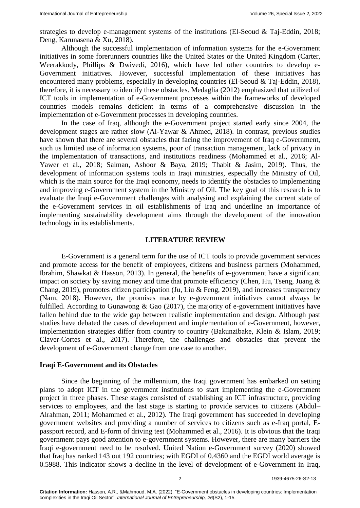strategies to develop e-management systems of the institutions (El-Seoud & Taj-Eddin, 2018; Deng, Karunasena & Xu, 2018).

Although the successful implementation of information systems for the e-Government initiatives in some forerunners countries like the United States or the United Kingdom (Carter, Weerakkody, Phillips & Dwivedi, 2016), which have led other countries to develop e-Government initiatives. However, successful implementation of these initiatives has encountered many problems, especially in developing countries (El-Seoud & Taj-Eddin, 2018), therefore, it is necessary to identify these obstacles. Medaglia (2012) emphasized that utilized of ICT tools in implementation of e-Government processes within the frameworks of developed countries models remains deficient in terms of a comprehensive discussion in the implementation of e-Government processes in developing countries.

In the case of Iraq, although the e-Government project started early since 2004, the development stages are rather slow (Al-Yawar & Ahmed, 2018). In contrast, previous studies have shown that there are several obstacles that facing the improvement of Iraq e-Government, such us limited use of information systems, poor of transaction management, lack of privacy in the implementation of transactions, and institutions readiness (Mohammed et al., 2016; Al-Yawer et al., 2018; Salman, Ashoor & Baya, 2019; Thabit & Jasim, 2019). Thus, the development of information systems tools in Iraqi ministries, especially the Ministry of Oil, which is the main source for the Iraqi economy, needs to identify the obstacles to implementing and improving e-Government system in the Ministry of Oil. The key goal of this research is to evaluate the Iraqi e-Government challenges with analysing and explaining the current state of the e-Government services in oil establishments of Iraq and underline an importance of implementing sustainability development aims through the development of the innovation technology in its establishments.

#### **LITERATURE REVIEW**

E-Government is a general term for the use of ICT tools to provide government services and promote access for the benefit of employees, citizens and business partners (Mohammed, Ibrahim, Shawkat & Hasson, 2013). In general, the benefits of e-government have a significant impact on society by saving money and time that promote efficiency (Chen, Hu, Tseng, Juang & Chang, 2019), promotes citizen participation (Ju, Liu & Feng, 2019), and increases transparency (Nam, 2018). However, the promises made by e-government initiatives cannot always be fulfilled. According to Gunawong  $\&$  Gao (2017), the majority of e-government initiatives have fallen behind due to the wide gap between realistic implementation and design. Although past studies have debated the cases of development and implementation of e-Government, however, implementation strategies differ from country to country (Bakunzibake, Klein & Islam, 2019; Claver-Cortes et al., 2017). Therefore, the challenges and obstacles that prevent the development of e-Government change from one case to another.

#### **Iraqi E-Government and its Obstacles**

Since the beginning of the millennium, the Iraqi government has embarked on setting plans to adopt ICT in the government institutions to start implementing the e-Government project in three phases. These stages consisted of establishing an ICT infrastructure, providing services to employees, and the last stage is starting to provide services to citizens (Abdul– Alrahman, 2011; Mohammed et al., 2012). The Iraqi government has succeeded in developing government websites and providing a number of services to citizens such as e-Iraq portal, Epassport record, and E-form of driving test (Mohammed et al., 2016). It is obvious that the Iraqi government pays good attention to e-government systems. However, there are many barriers the Iraqi e-government need to be resolved. United Nation e-Government survey (2020) showed that Iraq has ranked 143 out 192 countries; with EGDI of 0.4360 and the EGDI world average is 0.5988. This indicator shows a decline in the level of development of e-Government in Iraq,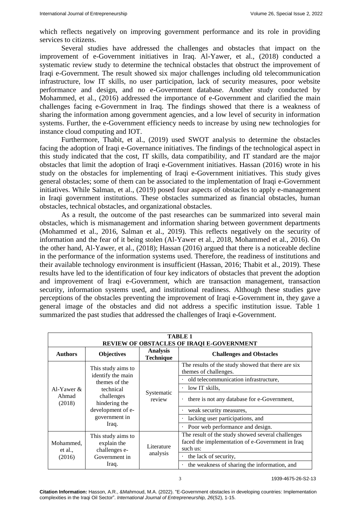which reflects negatively on improving government performance and its role in providing services to citizens.

Several studies have addressed the challenges and obstacles that impact on the improvement of e-Government initiatives in Iraq. Al-Yawer, et al., (2018) conducted a systematic review study to determine the technical obstacles that obstruct the improvement of Iraqi e-Government. The result showed six major challenges including old telecommunication infrastructure, low IT skills, no user participation, lack of security measures, poor website performance and design, and no e-Government database. Another study conducted by Mohammed, et al., (2016) addressed the importance of e-Government and clarified the main challenges facing e-Government in Iraq. The findings showed that there is a weakness of sharing the information among government agencies, and a low level of security in information systems. Further, the e-Government efficiency needs to increase by using new technologies for instance cloud computing and IOT.

Furthermore, Thabit, et al., (2019) used SWOT analysis to determine the obstacles facing the adoption of Iraqi e-Governance initiatives. The findings of the technological aspect in this study indicated that the cost, IT skills, data compatibility, and IT standard are the major obstacles that limit the adoption of Iraqi e-Government initiatives. Hassan (2016) wrote in his study on the obstacles for implementing of Iraqi e-Government initiatives. This study gives general obstacles; some of them can be associated to the implementation of Iraqi e-Government initiatives. While Salman, et al., (2019) posed four aspects of obstacles to apply e-management in Iraqi government institutions. These obstacles summarized as financial obstacles, human obstacles, technical obstacles, and organizational obstacles.

As a result, the outcome of the past researches can be summarized into several main obstacles, which is mismanagement and information sharing between government departments (Mohammed et al., 2016, Salman et al., 2019). This reflects negatively on the security of information and the fear of it being stolen (Al-Yawer et al., 2018, Mohammed et al., 2016). On the other hand, Al-Yawer, et al., (2018); Hassan (2016) argued that there is a noticeable decline in the performance of the information systems used. Therefore, the readiness of institutions and their available technology environment is insufficient (Hassan, 2016; Thabit et al., 2019). These results have led to the identification of four key indicators of obstacles that prevent the adoption and improvement of Iraqi e-Government, which are transaction management, transaction security, information systems used, and institutional readiness. Although these studies gave perceptions of the obstacles preventing the improvement of Iraqi e-Government in, they gave a general image of the obstacles and did not address a specific institution issue. Table 1 summarized the past studies that addressed the challenges of Iraqi e-Government.

| TABLE 1<br>REVIEW OF OBSTACLES OF IRAQI E-GOVERNMENT |                                                                                                                                                     |                                     |                                                                                                                   |  |
|------------------------------------------------------|-----------------------------------------------------------------------------------------------------------------------------------------------------|-------------------------------------|-------------------------------------------------------------------------------------------------------------------|--|
| <b>Authors</b>                                       | <b>Objectives</b>                                                                                                                                   | <b>Analysis</b><br><b>Technique</b> | <b>Challenges and Obstacles</b>                                                                                   |  |
| Al-Yawer $\&$<br>Ahmad<br>(2018)                     | This study aims to<br>identify the main<br>themes of the<br>technical<br>challenges<br>hindering the<br>development of e-<br>government in<br>Iraq. | Systematic<br>review                | The results of the study showed that there are six<br>themes of challenges.                                       |  |
|                                                      |                                                                                                                                                     |                                     | old telecommunication infrastructure,                                                                             |  |
|                                                      |                                                                                                                                                     |                                     | low IT skills.                                                                                                    |  |
|                                                      |                                                                                                                                                     |                                     | there is not any database for e-Government,                                                                       |  |
|                                                      |                                                                                                                                                     |                                     | weak security measures,                                                                                           |  |
|                                                      |                                                                                                                                                     |                                     | lacking user participations, and                                                                                  |  |
|                                                      |                                                                                                                                                     |                                     | Poor web performance and design.                                                                                  |  |
| Mohammed.<br>et al.,<br>(2016)                       | This study aims to<br>explain the<br>challenges e-<br>Government in<br>Iraq.                                                                        | Literature<br>analysis              | The result of the study showed several challenges<br>faced the implementation of e-Government in Iraq<br>such us: |  |
|                                                      |                                                                                                                                                     |                                     | the lack of security,                                                                                             |  |
|                                                      |                                                                                                                                                     |                                     | the weakness of sharing the information, and                                                                      |  |

**Citation Information:** Hasson, A.R., &Mahmoud, M.A. (2022). "E-Government obstacles in developing countries: Implementation complexities in the Iraqi Oil Sector". *International Journal of Entrepreneurship, 26*(S2), 1-15.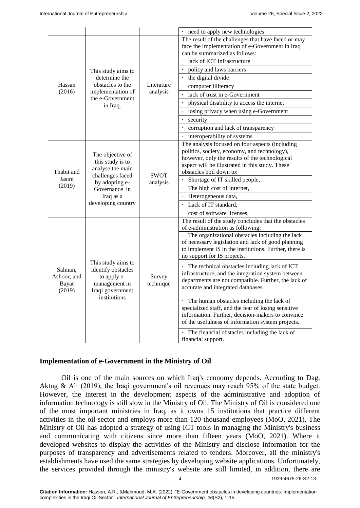|                               |                                                                                                                                                    |                         | need to apply new technologies                                                         |
|-------------------------------|----------------------------------------------------------------------------------------------------------------------------------------------------|-------------------------|----------------------------------------------------------------------------------------|
| Hassan<br>(2016)              | This study aims to<br>determine the<br>obstacles to the<br>implementation of<br>the e-Government<br>in Iraq.                                       | Literature<br>analysis  | The result of the challenges that have faced or may                                    |
|                               |                                                                                                                                                    |                         | face the implementation of e-Government in Iraq                                        |
|                               |                                                                                                                                                    |                         | can be summarized as follows:                                                          |
|                               |                                                                                                                                                    |                         | · lack of ICT Infrastructure                                                           |
|                               |                                                                                                                                                    |                         | policy and laws barriers                                                               |
|                               |                                                                                                                                                    |                         | the digital divide                                                                     |
|                               |                                                                                                                                                    |                         | · computer Illiteracy                                                                  |
|                               |                                                                                                                                                    |                         | lack of trust in e-Government                                                          |
|                               |                                                                                                                                                    |                         | physical disability to access the internet                                             |
|                               |                                                                                                                                                    |                         | losing privacy when using e-Government                                                 |
|                               |                                                                                                                                                    |                         | security                                                                               |
|                               |                                                                                                                                                    |                         | corruption and lack of transparency                                                    |
|                               |                                                                                                                                                    |                         | · interoperability of systems                                                          |
|                               | The objective of<br>this study is to<br>analyse the main<br>challenges faced<br>by adopting e-<br>Governance in<br>Iraq as a<br>developing country | <b>SWOT</b><br>analysis | The analysis focused on four aspects (including                                        |
|                               |                                                                                                                                                    |                         | politics, society, economy, and technology),                                           |
|                               |                                                                                                                                                    |                         | however, only the results of the technological                                         |
|                               |                                                                                                                                                    |                         | aspect will be illustrated in this study. These                                        |
| Thabit and<br>Jasim<br>(2019) |                                                                                                                                                    |                         | obstacles boil down to:                                                                |
|                               |                                                                                                                                                    |                         | Shortage of IT skilled people,                                                         |
|                               |                                                                                                                                                    |                         | The high cost of Internet,                                                             |
|                               |                                                                                                                                                    |                         | Heterogeneous data,                                                                    |
|                               |                                                                                                                                                    |                         | Lack of IT standard,                                                                   |
|                               |                                                                                                                                                    |                         | . cost of software licenses,                                                           |
|                               | This study aims to<br>identify obstacles<br>to apply e-<br>management in<br>Iraqi government<br>institutions                                       | Survey<br>technique     | The result of the study concludes that the obstacles                                   |
|                               |                                                                                                                                                    |                         | of e-administration as following:<br>· The organizational obstacles including the lack |
|                               |                                                                                                                                                    |                         | of necessary legislation and lack of good planning                                     |
|                               |                                                                                                                                                    |                         | to implement IS in the institutions. Further, there is                                 |
|                               |                                                                                                                                                    |                         | no support for IS projects.                                                            |
|                               |                                                                                                                                                    |                         | The technical obstacles including lack of ICT                                          |
| Salman,                       |                                                                                                                                                    |                         | infrastructure, and the integration system between                                     |
| Ashoor, and                   |                                                                                                                                                    |                         | departments are not compatible. Further, the lack of                                   |
| <b>Bayat</b><br>(2019)        |                                                                                                                                                    |                         | accurate and integrated databases.                                                     |
|                               |                                                                                                                                                    |                         |                                                                                        |
|                               |                                                                                                                                                    |                         | · The human obstacles including the lack of                                            |
|                               |                                                                                                                                                    |                         | specialized staff, and the fear of losing sensitive                                    |
|                               |                                                                                                                                                    |                         | information. Further, decision-makers to convince                                      |
|                               |                                                                                                                                                    |                         | of the usefulness of information system projects.                                      |
|                               |                                                                                                                                                    |                         | · The financial obstacles including the lack of                                        |
|                               |                                                                                                                                                    |                         | financial support.                                                                     |

## **Implementation of e-Government in the Ministry of Oil**

Oil is one of the main sources on which Iraq's economy depends. According to Dag, Aktug & Alı (2019), the Iraqi government's oil revenues may reach 95% of the state budget. However, the interest in the development aspects of the administrative and adoption of information technology is still slow in the Ministry of Oil. The Ministry of Oil is considered one of the most important ministries in Iraq, as it owns 15 institutions that practice different activities in the oil sector and employs more than 120 thousand employees (MoO, 2021). The Ministry of Oil has adopted a strategy of using ICT tools in managing the Ministry's business and communicating with citizens since more than fifteen years (MoO, 2021). Where it developed websites to display the activities of the Ministry and disclose information for the purposes of transparency and advertisements related to tenders. Moreover, all the ministry's establishments have used the same strategies by developing website applications. Unfortunately, the services provided through the ministry's website are still limited, in addition, there are

4 1939-4675-26-S2-13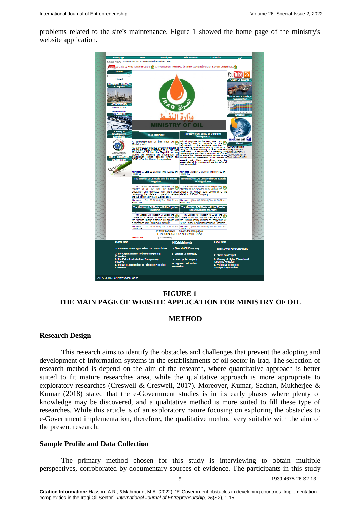problems related to the site's maintenance, Figure 1 showed the home page of the ministry's website application.



# **FIGURE 1 THE MAIN PAGE OF WEBSITE APPLICATION FOR MINISTRY OF OIL**

#### **METHOD**

#### **Research Design**

This research aims to identify the obstacles and challenges that prevent the adopting and development of Information systems in the establishments of oil sector in Iraq. The selection of research method is depend on the aim of the research, where quantitative approach is better suited to fit mature researches area, while the qualitative approach is more appropriate to exploratory researches (Creswell & Creswell, 2017). Moreover, Kumar, Sachan, Mukherjee & Kumar (2018) stated that the e-Government studies is in its early phases where plenty of knowledge may be discovered, and a qualitative method is more suited to fill these type of researches. While this article is of an exploratory nature focusing on exploring the obstacles to e-Government implementation, therefore, the qualitative method very suitable with the aim of the present research.

#### **Sample Profile and Data Collection**

The primary method chosen for this study is interviewing to obtain multiple perspectives, corroborated by documentary sources of evidence. The participants in this study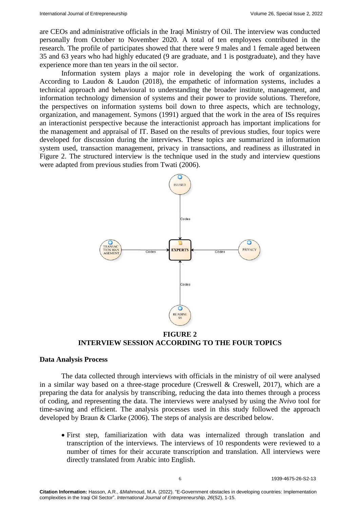are CEOs and administrative officials in the Iraqi Ministry of Oil. The interview was conducted personally from October to November 2020. A total of ten employees contributed in the research. The profile of participates showed that there were 9 males and 1 female aged between 35 and 63 years who had highly educated (9 are graduate, and 1 is postgraduate), and they have experience more than ten years in the oil sector.

Information system plays a major role in developing the work of organizations. According to Laudon & Laudon (2018), the empathetic of information systems, includes a technical approach and behavioural to understanding the broader institute, management, and information technology dimension of systems and their power to provide solutions. Therefore, the perspectives on information systems boil down to three aspects, which are technology, organization, and management. Symons (1991) argued that the work in the area of ISs requires an interactionist perspective because the interactionist approach has important implications for the management and appraisal of IT. Based on the results of previous studies, four topics were developed for discussion during the interviews. These topics are summarized in information system used, transaction management, privacy in transactions, and readiness as illustrated in Figure 2. The structured interview is the technique used in the study and interview questions were adapted from previous studies from Twati (2006).



**FIGURE 2 INTERVIEW SESSION ACCORDING TO THE FOUR TOPICS**

## **Data Analysis Process**

The data collected through interviews with officials in the ministry of oil were analysed in a similar way based on a three-stage procedure (Creswell & Creswell, 2017), which are a preparing the data for analysis by transcribing, reducing the data into themes through a process of coding, and representing the data. The interviews were analysed by using the *Nvivo* tool for time-saving and efficient. The analysis processes used in this study followed the approach developed by Braun & Clarke (2006). The steps of analysis are described below.

 First step, familiarization with data was internalized through translation and transcription of the interviews. The interviews of 10 respondents were reviewed to a number of times for their accurate transcription and translation. All interviews were directly translated from Arabic into English.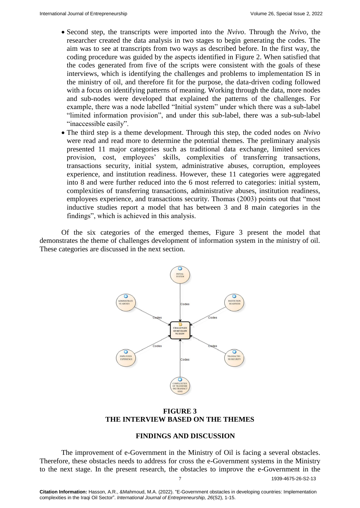- Second step, the transcripts were imported into the *Nvivo*. Through the *Nvivo*, the researcher created the data analysis in two stages to begin generating the codes. The aim was to see at transcripts from two ways as described before. In the first way, the coding procedure was guided by the aspects identified in Figure 2. When satisfied that the codes generated from five of the scripts were consistent with the goals of these interviews, which is identifying the challenges and problems to implementation IS in the ministry of oil, and therefore fit for the purpose, the data-driven coding followed with a focus on identifying patterns of meaning. Working through the data, more nodes and sub-nodes were developed that explained the patterns of the challenges. For example, there was a node labelled "Initial system" under which there was a sub-label "limited information provision", and under this sub-label, there was a sub-sub-label "inaccessible easily".
- The third step is a theme development. Through this step, the coded nodes on *Nvivo* were read and read more to determine the potential themes. The preliminary analysis presented 11 major categories such as traditional data exchange, limited services provision, cost, employees' skills, complexities of transferring transactions, transactions security, initial system, administrative abuses, corruption, employees experience, and institution readiness. However, these 11 categories were aggregated into 8 and were further reduced into the 6 most referred to categories: initial system, complexities of transferring transactions, administrative abuses, institution readiness, employees experience, and transactions security. Thomas (2003) points out that "most inductive studies report a model that has between 3 and 8 main categories in the findings", which is achieved in this analysis.

Of the six categories of the emerged themes, Figure 3 present the model that demonstrates the theme of challenges development of information system in the ministry of oil. These categories are discussed in the next section.



## **FIGURE 3 THE INTERVIEW BASED ON THE THEMES**

#### **FINDINGS AND DISCUSSION**

7 1939-4675-26-S2-13 The improvement of e-Government in the Ministry of Oil is facing a several obstacles. Therefore, these obstacles needs to address for cross the e-Government systems in the Ministry to the next stage. In the present research, the obstacles to improve the e-Government in the

**Citation Information:** Hasson, A.R., &Mahmoud, M.A. (2022). "E-Government obstacles in developing countries: Implementation complexities in the Iraqi Oil Sector". *International Journal of Entrepreneurship, 26*(S2), 1-15.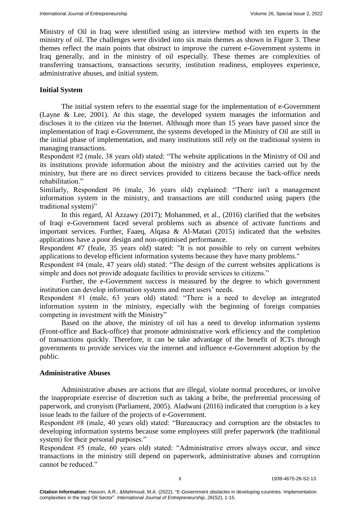Ministry of Oil in Iraq were identified using an interview method with ten experts in the ministry of oil. The challenges were divided into six main themes as shown in Figure 3. These themes reflect the main points that obstruct to improve the current e-Government systems in Iraq generally, and in the ministry of oil especially. These themes are complexities of transferring transactions, transactions security, institution readiness, employees experience, administrative abuses, and initial system.

## **Initial System**

The initial system refers to the essential stage for the implementation of e-Government (Layne & Lee, 2001). At this stage, the developed system manages the information and discloses it to the citizen *via* the Internet. Although more than 15 years have passed since the implementation of Iraqi e-Government, the systems developed in the Ministry of Oil are still in the initial phase of implementation, and many institutions still rely on the traditional system in managing transactions.

Respondent #2 (male, 38 years old) stated: "The website applications in the Ministry of Oil and its institutions provide information about the ministry and the activities carried out by the ministry, but there are no direct services provided to citizens because the back-office needs rehabilitation."

Similarly, Respondent #6 (male, 36 years old) explained: "There isn't a management information system in the ministry, and transactions are still conducted using papers (the traditional system)"

In this regard, Al Azzawy (2017); Mohammed, et al., (2016) clarified that the websites of Iraqi e-Government faced several problems such as absence of activate functions and important services. Further, Faaeq, Alqasa & Al-Matari (2015) indicated that the websites applications have a poor design and non-optimised performance.

Respondent #7 (feale, 35 years old) stated: "It is not possible to rely on current websites applications to develop efficient information systems because they have many problems."

Respondent #4 (male, 47 years old) stated: "The design of the current websites applications is simple and does not provide adequate facilities to provide services to citizens."

Further, the e-Government success is measured by the degree to which government institution can develop information systems and meet users' needs.

Respondent #1 (male, 63 years old) stated: "There is a need to develop an integrated information system in the ministry, especially with the beginning of foreign companies competing in investment with the Ministry"

Based on the above, the ministry of oil has a need to develop information systems (Front-office and Back-office) that promote administrative work efficiency and the completion of transactions quickly. Therefore, it can be take advantage of the benefit of ICTs through governments to provide services *via* the internet and influence e-Government adoption by the public.

## **Administrative Abuses**

Administrative abuses are actions that are illegal, violate normal procedures, or involve the inappropriate exercise of discretion such as taking a bribe, the preferential processing of paperwork, and cronyism (Parliament, 2005). Aladwani (2016) indicated that corruption is a key issue leads to the failure of the projects of e-Government.

Respondent #8 (male, 40 years old) stated: "Bureaucracy and corruption are the obstacles to developing information systems because some employees still prefer paperwork (the traditional system) for their personal purposes."

Respondent #5 (male, 60 years old) stated: "Administrative errors always occur, and since transactions in the ministry still depend on paperwork, administrative abuses and corruption cannot be reduced."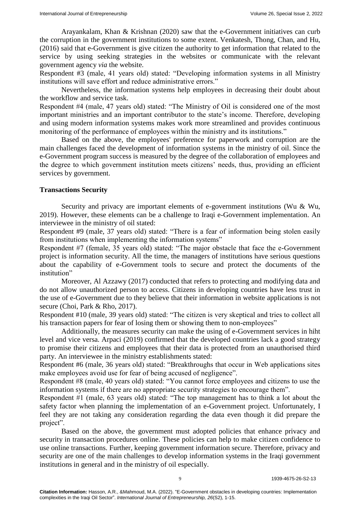Arayankalam, Khan & Krishnan (2020) saw that the e-Government initiatives can curb the corruption in the government institutions to some extent. Venkatesh, Thong, Chan, and Hu, (2016) said that e-Government is give citizen the authority to get information that related to the service by using seeking strategies in the websites or communicate with the relevant government agency *via* the website.

Respondent #3 (male, 41 years old) stated: "Developing information systems in all Ministry institutions will save effort and reduce administrative errors."

Nevertheless, the information systems help employees in decreasing their doubt about the workflow and service task.

Respondent #4 (male, 47 years old) stated: "The Ministry of Oil is considered one of the most important ministries and an important contributor to the state's income. Therefore, developing and using modern information systems makes work more streamlined and provides continuous monitoring of the performance of employees within the ministry and its institutions."

Based on the above, the employees' preference for paperwork and corruption are the main challenges faced the development of information systems in the ministry of oil. Since the e-Government program success is measured by the degree of the collaboration of employees and the degree to which government institution meets citizens' needs, thus, providing an efficient services by government.

## **Transactions Security**

Security and privacy are important elements of e-government institutions (Wu & Wu, 2019). However, these elements can be a challenge to Iraqi e-Government implementation. An interviewee in the ministry of oil stated:

Respondent #9 (male, 37 years old) stated: "There is a fear of information being stolen easily from institutions when implementing the information systems"

Respondent #7 (female, 35 years old) stated: "The major obstacle that face the e-Government project is information security. All the time, the managers of institutions have serious questions about the capability of e-Government tools to secure and protect the documents of the institution"

Moreover, Al Azzawy (2017) conducted that refers to protecting and modifying data and do not allow unauthorized person to access. Citizens in developing countries have less trust in the use of e-Government due to they believe that their information in website applications is not secure (Choi, Park & Rho, 2017).

Respondent #10 (male, 39 years old) stated: "The citizen is very skeptical and tries to collect all his transaction papers for fear of losing them or showing them to non-employees"

Additionally, the measures security can make the using of e-Government services in hiht level and vice versa. Arpaci (2019) confirmed that the developed countries lack a good strategy to promise their citizens and employees that their data is protected from an unauthorised third party. An interviewee in the ministry establishments stated:

Respondent #6 (male, 36 years old) stated: "Breakthroughs that occur in Web applications sites make employees avoid use for fear of being accused of negligence".

Respondent #8 (male, 40 years old) stated: "You cannot force employees and citizens to use the information systems if there are no appropriate security strategies to encourage them".

Respondent #1 (male, 63 years old) stated: "The top management has to think a lot about the safety factor when planning the implementation of an e-Government project. Unfortunately, I feel they are not taking any consideration regarding the data even though it did prepare the project".

Based on the above, the government must adopted policies that enhance privacy and security in transaction procedures online. These policies can help to make citizen confidence to use online transactions. Further, keeping government information secure. Therefore, privacy and security are one of the main challenges to develop information systems in the Iraqi government institutions in general and in the ministry of oil especially.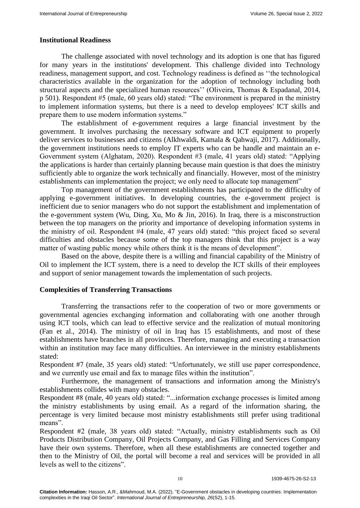### **Institutional Readiness**

The challenge associated with novel technology and its adoption is one that has figured for many years in the institutions' development. This challenge divided into Technology readiness, management support, and cost. Technology readiness is defined as ''the technological characteristics available in the organization for the adoption of technology including both structural aspects and the specialized human resources'' (Oliveira, Thomas & Espadanal, 2014, p 501). Respondent #5 (male, 60 years old) stated: "The environment is prepared in the ministry to implement information systems, but there is a need to develop employees' ICT skills and prepare them to use modern information systems."

The establishment of e-government requires a large financial investment by the government. It involves purchasing the necessary software and ICT equipment to properly deliver services to businesses and citizens (Alkhwaldi, Kamala & Qahwaji, 2017). Additionally, the government institutions needs to employ IT experts who can be handle and maintain an e-Government system (Alghatam, 2020). Respondent #3 (male, 41 years old) stated: "Applying the applications is harder than certainly planning because main question is that does the ministry sufficiently able to organize the work technically and financially. However, most of the ministry establishments can implementation the project; we only need to allocate top management"

Top management of the government establishments has participated to the difficulty of applying e-government initiatives. In developing countries, the e-government project is inefficient due to senior managers who do not support the establishment and implementation of the e-government system (Wu, Ding, Xu, Mo & Jin, 2016). In Iraq, there is a misconstruction between the top managers on the priority and importance of developing information systems in the ministry of oil. Respondent #4 (male, 47 years old) stated: "this project faced so several difficulties and obstacles because some of the top managers think that this project is a way matter of wasting public money while others think it is the means of development".

Based on the above, despite there is a willing and financial capability of the Ministry of Oil to implement the ICT system, there is a need to develop the ICT skills of their employees and support of senior management towards the implementation of such projects.

## **Complexities of Transferring Transactions**

Transferring the transactions refer to the cooperation of two or more governments or governmental agencies exchanging information and collaborating with one another through using ICT tools, which can lead to effective service and the realization of mutual monitoring (Fan et al., 2014). The ministry of oil in Iraq has 15 establishments, and most of these establishments have branches in all provinces. Therefore, managing and executing a transaction within an institution may face many difficulties. An interviewee in the ministry establishments stated:

Respondent #7 (male, 35 years old) stated: "Unfortunately, we still use paper correspondence, and we currently use email and fax to manage files within the institution".

Furthermore, the management of transactions and information among the Ministry's establishments collides with many obstacles.

Respondent #8 (male, 40 years old) stated: "...information exchange processes is limited among the ministry establishments by using email. As a regard of the information sharing, the percentage is very limited because most ministry establishments still prefer using traditional means".

Respondent #2 (male, 38 years old) stated: "Actually, ministry establishments such as Oil Products Distribution Company, Oil Projects Company, and Gas Filling and Services Company have their own systems. Therefore, when all these establishments are connected together and then to the Ministry of Oil, the portal will become a real and services will be provided in all levels as well to the citizens".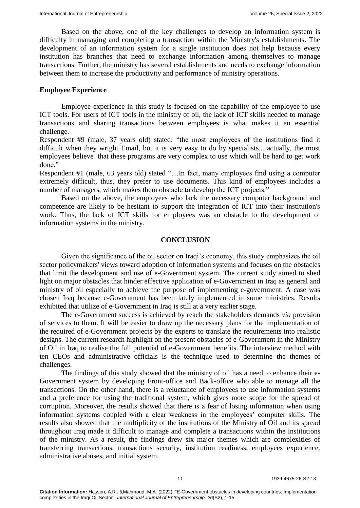Based on the above, one of the key challenges to develop an information system is difficulty in managing and completing a transaction within the Ministry's establishments. The development of an information system for a single institution does not help because every institution has branches that need to exchange information among themselves to manage transactions. Further, the ministry has several establishments and needs to exchange information between them to increase the productivity and performance of ministry operations.

## **Employee Experience**

Employee experience in this study is focused on the capability of the employee to use ICT tools. For users of ICT tools in the ministry of oil, the lack of ICT skills needed to manage transactions and sharing transactions between employees is what makes it an essential challenge.

Respondent #9 (male, 37 years old) stated: "the most employees of the institutions find it difficult when they wright Email, but it is very easy to do by specialists... actually, the most employees believe that these programs are very complex to use which will be hard to get work done"

Respondent #1 (male, 63 years old) stated "…In fact, many employees find using a computer extremely difficult, thus, they prefer to use documents. This kind of employees includes a number of managers, which makes them obstacle to develop the ICT projects."

Based on the above, the employees who lack the necessary computer background and competence are likely to be hesitant to support the integration of ICT into their institution's work. Thus, the lack of ICT skills for employees was an obstacle to the development of information systems in the ministry.

## **CONCLUSION**

Given the significance of the oil sector on Iraqi's economy, this study emphasizes the oil sector policymakers' views toward adoption of information systems and focuses on the obstacles that limit the development and use of e-Government system. The current study aimed to shed light on major obstacles that hinder effective application of e-Government in Iraq as general and ministry of oil especially to achieve the purpose of implementing e-government. A case was chosen Iraq because e-Government has been lately implemented in some ministries. Results exhibited that utilize of e-Government in Iraq is still at a very earlier stage.

The e-Government success is achieved by reach the stakeholders demands *via* provision of services to them. It will be easier to draw up the necessary plans for the implementation of the required of e-Government projects by the experts to translate the requirements into realistic designs. The current research highlight on the present obstacles of e-Government in the Ministry of Oil in Iraq to realise the full potential of e-Government benefits. The interview method with ten CEOs and administrative officials is the technique used to determine the themes of challenges.

The findings of this study showed that the ministry of oil has a need to enhance their e-Government system by developing Front-office and Back-office who able to manage all the transactions. On the other hand, there is a reluctance of employees to use information systems and a preference for using the traditional system, which gives more scope for the spread of corruption. Moreover, the results showed that there is a fear of losing information when using information systems coupled with a clear weakness in the employees' computer skills. The results also showed that the multiplicity of the institutions of the Ministry of Oil and its spread throughout Iraq made it difficult to manage and complete a transactions within the institutions of the ministry. As a result, the findings drew six major themes which are complexities of transferring transactions, transactions security, institution readiness, employees experience, administrative abuses, and initial system.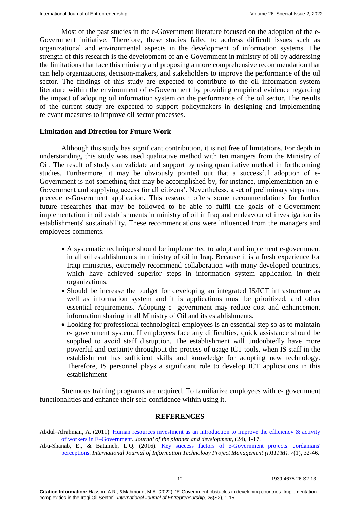Most of the past studies in the e-Government literature focused on the adoption of the e-Government initiative. Therefore, these studies failed to address difficult issues such as organizational and environmental aspects in the development of information systems. The strength of this research is the development of an e-Government in ministry of oil by addressing the limitations that face this ministry and proposing a more comprehensive recommendation that can help organizations, decision-makers, and stakeholders to improve the performance of the oil sector. The findings of this study are expected to contribute to the oil information system literature within the environment of e-Government by providing empirical evidence regarding the impact of adopting oil information system on the performance of the oil sector. The results of the current study are expected to support policymakers in designing and implementing relevant measures to improve oil sector processes.

## **Limitation and Direction for Future Work**

Although this study has significant contribution, it is not free of limitations. For depth in understanding, this study was used qualitative method with ten mangers from the Ministry of Oil. The result of study can validate and support by using quantitative method in forthcoming studies. Furthermore, it may be obviously pointed out that a successful adoption of e-Government is not something that may be accomplished by, for instance, implementation an e-Government and supplying access for all citizens'. Nevertheless, a set of preliminary steps must precede e-Government application. This research offers some recommendations for further future researches that may be followed to be able to fulfil the goals of e-Government implementation in oil establishments in ministry of oil in Iraq and endeavour of investigation its establishments' sustainability. These recommendations were influenced from the managers and employees comments.

- A systematic technique should be implemented to adopt and implement e-government in all oil establishments in ministry of oil in Iraq. Because it is a fresh experience for Iraqi ministries, extremely recommend collaboration with many developed countries, which have achieved superior steps in information system application in their organizations.
- Should be increase the budget for developing an integrated IS/ICT infrastructure as well as information system and it is applications must be prioritized, and other essential requirements. Adopting e- government may reduce cost and enhancement information sharing in all Ministry of Oil and its establishments.
- Looking for professional technological employees is an essential step so as to maintain e- government system. If employees face any difficulties, quick assistance should be supplied to avoid staff disruption. The establishment will undoubtedly have more powerful and certainty throughout the process of usage ICT tools, when IS staff in the establishment has sufficient skills and knowledge for adopting new technology. Therefore, IS personnel plays a significant role to develop ICT applications in this establishment

Strenuous training programs are required. To familiarize employees with e- government functionalities and enhance their self-confidence within using it.

## **REFERENCES**

Abdul–Alrahman, A. (2011). Human resources investment as an introduction to improve the efficiency & activity [of workers in E–Government.](https://www.diva-portal.org/smash/get/diva2:447880/FULLTEXT01.pdf) *Journal of the planner and development*, (24), 1-17.

Abu-Shanab, E., & Bataineh, L.Q. (2016). [Key success factors of e-Government projects: Jordanians'](https://www.diva-portal.org/smash/get/diva2:447880/FULLTEXT01.pdf)  [perceptions.](https://www.diva-portal.org/smash/get/diva2:447880/FULLTEXT01.pdf) *International Journal of Information Technology Project Management (IJITPM)*, *7*(1), 32-46.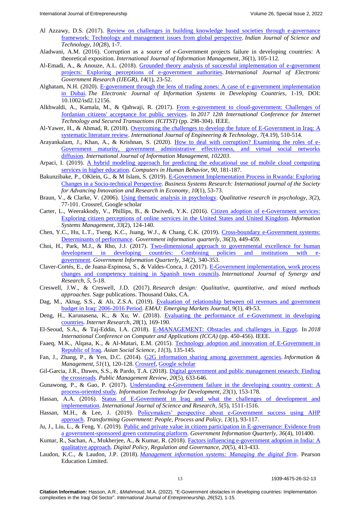- Al Azzawy, D.S. (2017). [Review on challenges in building knowledge based societies through e-governance](http://52.172.159.94/index.php/indjst/article/view/113707)  [framework: Technology and management issues from global perspective.](http://52.172.159.94/index.php/indjst/article/view/113707) *Indian Journal of Science and Technology*, *10*(28), 1-7.
- Aladwani, A.M. (2016). Corruption as a source of e-Government projects failure in developing countries: A theoretical exposition. *International Journal of Information Management*, *36*(1), 105-112.
- Al-Emadi, A., & Anouze, A.L. (2018). [Grounded theory analysis of successful implementation of e-government](https://www.igi-global.com/article/grounded-theory-analysis-of-successful-implementation-of-e-government-projects/206171)  [projects: Exploring perceptions of e-government authorities.](https://www.igi-global.com/article/grounded-theory-analysis-of-successful-implementation-of-e-government-projects/206171) *International Journal of Electronic Government Research (IJEGR)*, *14*(1), 23-52.
- Alghatam, N.H. (2020). E‐[government through the lens of trading zones: A case of e](https://onlinelibrary.wiley.com/doi/abs/10.1002/isd2.12156)‐government implementation [in Dubai.](https://onlinelibrary.wiley.com/doi/abs/10.1002/isd2.12156) *The Electronic Journal of Information Systems in Developing Countries*, 1-19, DOI: 10.1002/isd2.12156.
- Alkhwaldi, A., Kamala, M., & Qahwaji, R. (2017). From e-govemment to cloud-government: Challenges of [Jordanian citizens' acceptance for public services.](https://bradscholars.brad.ac.uk/handle/10454/16147) In *2017 12th International Conference for Internet Technology and Secured Transactions (ICITST)* (pp. 298-304). IEEE.
- Al-Yawer, H., & Ahmad, R. (2018). [Overcoming the challenges to develop the future of E-Government in Iraq: A](https://www.sciencepubco.com/index.php/ijet/article/view/27950) [systematic literature review.](https://www.sciencepubco.com/index.php/ijet/article/view/27950) *International Journal of Engineering & Technology*, *7*(4.19), 510-514.
- Arayankalam, J., Khan, A., & Krishnan, S. (2020). [How to deal with corruption? Examining the roles of e-](https://www.sciencedirect.com/science/article/abs/pii/S0268401219317141)[Government maturity, government administrative effectiveness, and virtual social networks](https://www.sciencedirect.com/science/article/abs/pii/S0268401219317141)  [diffusion.](https://www.sciencedirect.com/science/article/abs/pii/S0268401219317141) *International Journal of Information Management, 102203*.
- Arpaci, I. (2019). A hybrid modeling approach for predicting the educational use of mobile cloud computing [services in higher education.](https://www.sciencedirect.com/science/article/abs/pii/S074756321830445X) *Computers in Human Behavior*, *90*, 181-187.
- Bakunzibake, P., OKlein, G., & M Islam, S. (2019). [E-Government Implementation Process in Rwanda: Exploring](http://www.diva-portal.org/smash/record.jsf?pid=diva2:1304616)  [Changes in a Socio-technical Perspective.](http://www.diva-portal.org/smash/record.jsf?pid=diva2:1304616) *Business Systems Research: International journal of the Society for Advancing Innovation and Research in Economy*, *10*(1), 53-73.
- Braun, V., & Clarke, V. (2006). [Using thematic analysis in psychology.](https://www.tandfonline.com/doi/abs/10.1191/1478088706qp063oa) *Qualitative research in psychology*, *3*(2), 77-101. Crossref, Google scholar
- Carter, L., Weerakkody, V., Phillips, B., & Dwivedi, Y.K. (2016). [Citizen adoption of e-Government services:](https://bradscholars.brad.ac.uk/handle/10454/12103)  [Exploring citizen perceptions of online services in the United States and United Kingdom.](https://bradscholars.brad.ac.uk/handle/10454/12103) *Information Systems Management*, *33*(2), 124-140.
- Chen, Y.C., Hu, L.T., Tseng, K.C., Juang, W.J., & Chang, C.K. (2019). [Cross-boundary e-Government systems:](https://scholar.lib.ntnu.edu.tw/en/publications/cross-boundary-e-government-systems-determinants-of-performance-2)  [Determinants of performance.](https://scholar.lib.ntnu.edu.tw/en/publications/cross-boundary-e-government-systems-determinants-of-performance-2) *Government information quarterly*, *36*(3), 449-459.
- Choi, H., Park, M.J., & Rho, J.J. (2017). [Two-dimensional approach to governmental excellence for human](https://dblp.uni-trier.de/rec/journals/giq/ChoiPR17.html)  [development in developing countries: Combining policies and institutions with e](https://dblp.uni-trier.de/rec/journals/giq/ChoiPR17.html)[government.](https://dblp.uni-trier.de/rec/journals/giq/ChoiPR17.html) *Government Information Quarterly*, *34*(2), 340-353.
- Claver-Cortés, E., de Juana-Espinosa, S., & Valdes-Conca, J. (2017). [E-Government implementation, work process](https://journals.umcs.pl/ijsr/article/download/5385/3703)  [changes and competency training](https://journals.umcs.pl/ijsr/article/download/5385/3703) in Spanish town councils. *International Journal of Synergy and Research*, *5*, 5-18.
- Creswell, J.W., & Creswell, J.D. (2017). *Research design: Qualitative, quantitative, and mixed methods approaches*. Sage publications. Thousand Oaks, CA.
- Dag, M., Aktug, S.S., & Alı, Z.S.A. (2019). [Evaluation of relationship between oil revenues and government](https://idealonline.com.tr/IdealOnline/lookAtPublications/paperDetail.xhtml?uId=109441&)  budget [in Iraq: 2006-2016 Period.](https://idealonline.com.tr/IdealOnline/lookAtPublications/paperDetail.xhtml?uId=109441&) *EMAJ: Emerging Markets Journal*, *9*(1), 49-53.
- Deng, H., Karunasena, K., & Xu, W. (2018). [Evaluating the performance of e-Government in developing](https://www.emerald.com/insight/content/doi/10.1108/IntR-10-2016-0296/full/html)  [countries.](https://www.emerald.com/insight/content/doi/10.1108/IntR-10-2016-0296/full/html) *Internet Research*, *28*(1), 169-190.
- El-Seoud, S.A., & Taj-Eddin, I.A. (2018). [E-MANAGEMENT: Obstacles and challenges in Egypt.](https://ieeexplore.ieee.org/document/8460311) In *2018 International Conference on Computer and Applications (ICCA)* (pp. 450-456). IEEE.
- Faaeq, M.K., Alqasa, K., & Al-Matari, E.M. (2015). [Technology adoption and innovation of E-Government in](https://www.ccsenet.org/journal/index.php/ass/article/view/43897)  [Republic of Iraq.](https://www.ccsenet.org/journal/index.php/ass/article/view/43897) *Asian Social Science*, *11*(3), 135-145.
- Fan, J., Zhang, P., & Yen, D.C. (2014). [G2G information sharing among government agencies.](https://dl.acm.org/doi/10.1016/j.im.2013.11.001) *Information & Management*, *51*(1), 120-128. [Crossref,](https://doi.org/10.1016/j.im.2013.11.001) [Google scholar](https://scholar.google.com/scholar?cites=11105603751095904304&as_sdt=2005&sciodt=0,5&hl=en)
- Gil-Garcia, J.R., Dawes, S.S., & Pardo, T.A. (2018). Digital government and public management research: Finding [the crossroads.](https://www.tandfonline.com/doi/full/10.1080/14719037.2017.1327181) *Public Management Review*, *20*(5), 633-646.
- Gunawong, P., & Gao, P. (2017). [Understanding e-Government failure in the developing country context: A](https://www.tandfonline.com/doi/abs/10.1080/02681102.2016.1269713?journalCode=titd20) [process-oriented study.](https://www.tandfonline.com/doi/abs/10.1080/02681102.2016.1269713?journalCode=titd20) *Information Technology for Development*, *23*(1), 153-178.
- Hassan, A.A. (2016). [Status of E-Government in Iraq and what the challenges of development and](https://www.ijsr.net/archive/v5i5/NOV163615.pdf)  [implementation.](https://www.ijsr.net/archive/v5i5/NOV163615.pdf) *International Journal of Science and Research*, *5*(5), 1511-1516.
- Hassan, M.H., & Lee, J. (2019). [Policymakers' perspective about e-Government success using AHP](https://www.ingentaconnect.com/content/mcb/tg/2019/00000013/00000001/art00005)  [approach.](https://www.ingentaconnect.com/content/mcb/tg/2019/00000013/00000001/art00005) *Transforming Government: People, Process and Policy*, *13*(1), 93-117.
- Ju, J., Liu, L., & Feng, Y. (2019). [Public and private value in citizen participation in E-governance: Evidence from](https://en.x-mol.com/paper/article/1349147500907098112)  [a government-sponsored green commuting platform.](https://en.x-mol.com/paper/article/1349147500907098112) *Government Information Quarterly*, *36*(4), 101400.
- Kumar, R., Sachan, A., Mukherjee, A., & Kumar, R. (2018). [Factors influencing e-government adoption in India: A](https://www.emerald.com/insight/content/doi/10.1108/DPRG-02-2018-0007/full/html) [qualitative approach.](https://www.emerald.com/insight/content/doi/10.1108/DPRG-02-2018-0007/full/html) *Digital Policy, Regulation and Governance, 20*(5), 413-433.
- Laudon, K.C., & Laudon, J.P. (2018). *[Management information systems: Managing the digital firm](https://www.pearson.com/us/higher-education/program/Laudon-Management-Information-Systems-Managing-the-Digital-Firm-16th-Edition/PGM2067673.html)*. Pearson Education Limited.